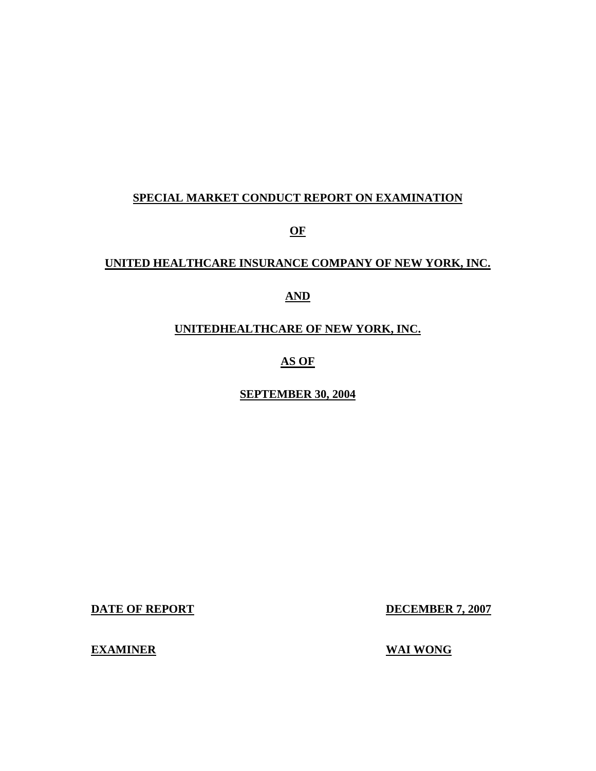### **SPECIAL MARKET CONDUCT REPORT ON EXAMINATION**

**OF** 

## **UNITED HEALTHCARE INSURANCE COMPANY OF NEW YORK, INC.**

### **AND**

# **UNITEDHEALTHCARE OF NEW YORK, INC.**

# **AS OF**

### **SEPTEMBER 30, 2004**

**DATE OF REPORT DECEMBER 7, 2007** 

**EXAMINER** 

**WAI WONG**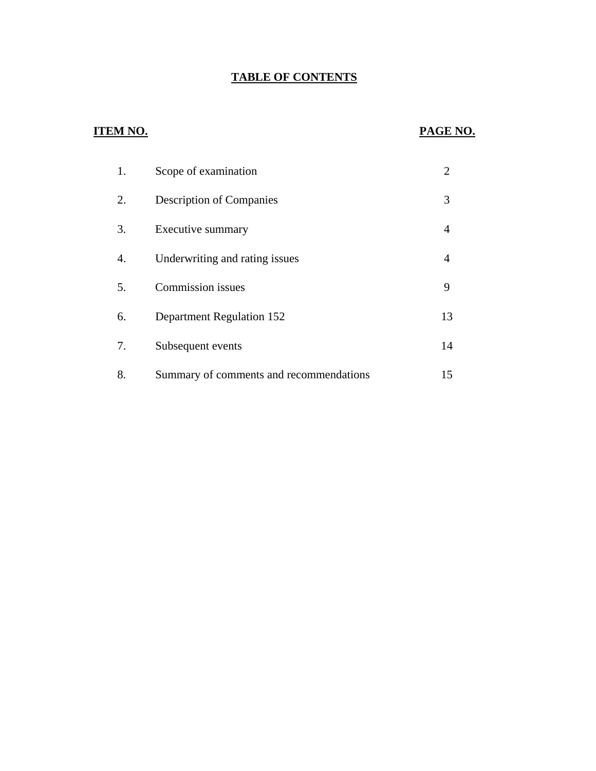# **TABLE OF CONTENTS**

# **ITEM NO.**

# **PAGE NO.**

| 1. | Scope of examination                    | 2  |
|----|-----------------------------------------|----|
| 2. | <b>Description of Companies</b>         | 3  |
| 3. | Executive summary                       | 4  |
| 4. | Underwriting and rating issues          | 4  |
| 5. | <b>Commission</b> issues                | 9  |
| 6. | Department Regulation 152               | 13 |
| 7. | Subsequent events                       | 14 |
| 8. | Summary of comments and recommendations | 15 |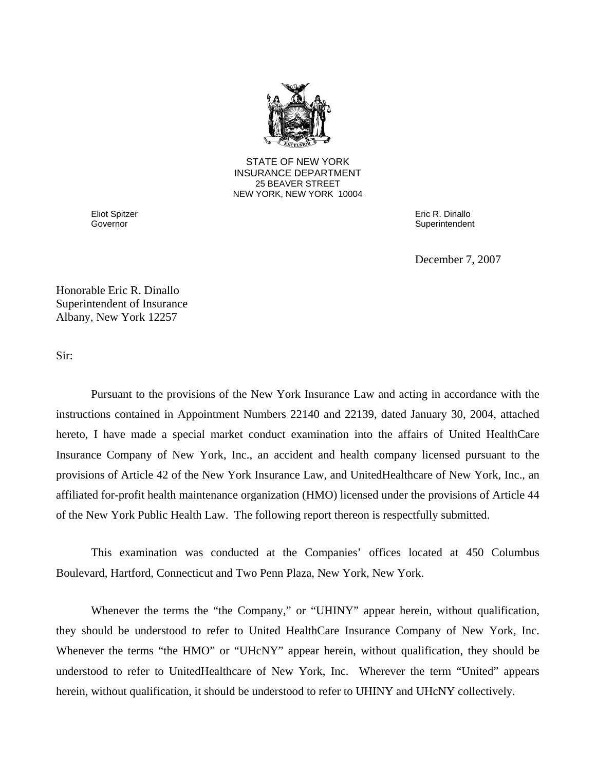

**25 BEAVER STREET** STATE OF NEW YORK INSURANCE DEPARTMENT NEW YORK, NEW YORK 10004

Governor Eliot Spitzer

Governor Eric R. Dinallo **Superintendent** 

December 7, 2007

Honorable Eric R. Dinallo Superintendent of Insurance Albany, New York 12257

Sir:

Pursuant to the provisions of the New York Insurance Law and acting in accordance with the instructions contained in Appointment Numbers 22140 and 22139, dated January 30, 2004, attached hereto, I have made a special market conduct examination into the affairs of United HealthCare Insurance Company of New York, Inc., an accident and health company licensed pursuant to the provisions of Article 42 of the New York Insurance Law, and UnitedHealthcare of New York, Inc., an affiliated for-profit health maintenance organization (HMO) licensed under the provisions of Article 44 of the New York Public Health Law. The following report thereon is respectfully submitted.

This examination was conducted at the Companies' offices located at 450 Columbus Boulevard, Hartford, Connecticut and Two Penn Plaza, New York, New York.

Whenever the terms the "the Company," or "UHINY" appear herein, without qualification, they should be understood to refer to United HealthCare Insurance Company of New York, Inc. Whenever the terms "the HMO" or "UHcNY" appear herein, without qualification, they should be understood to refer to UnitedHealthcare of New York, Inc. Wherever the term "United" appears herein, without qualification, it should be understood to refer to UHINY and UHcNY collectively.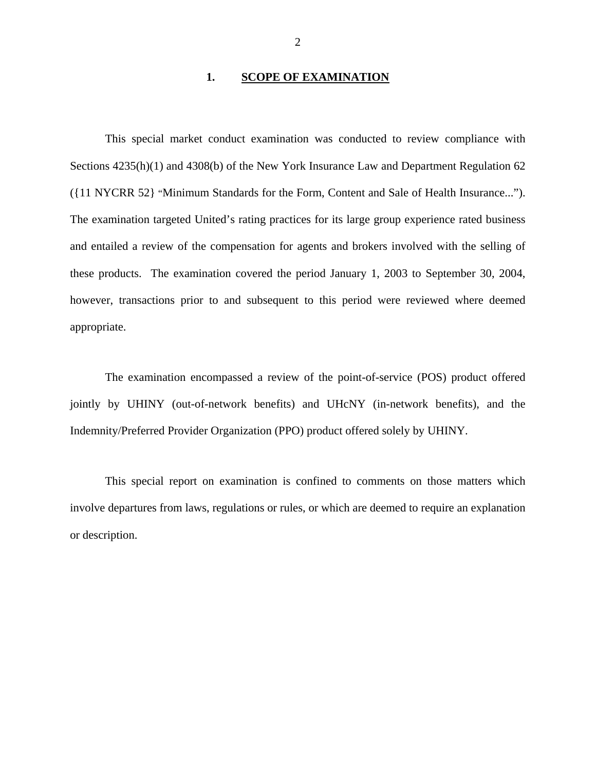### 1. **SCOPE OF EXAMINATION**

<span id="page-3-0"></span>This special market conduct examination was conducted to review compliance with Sections 4235(h)(1) and 4308(b) of the New York Insurance Law and Department Regulation 62 ({11 NYCRR 52} "Minimum Standards for the Form, Content and Sale of Health Insurance..."). The examination targeted United's rating practices for its large group experience rated business and entailed a review of the compensation for agents and brokers involved with the selling of these products. The examination covered the period January 1, 2003 to September 30, 2004, however, transactions prior to and subsequent to this period were reviewed where deemed appropriate.

The examination encompassed a review of the point-of-service (POS) product offered jointly by UHINY (out-of-network benefits) and UHcNY (in-network benefits), and the Indemnity/Preferred Provider Organization (PPO) product offered solely by UHINY.

This special report on examination is confined to comments on those matters which involve departures from laws, regulations or rules, or which are deemed to require an explanation or description.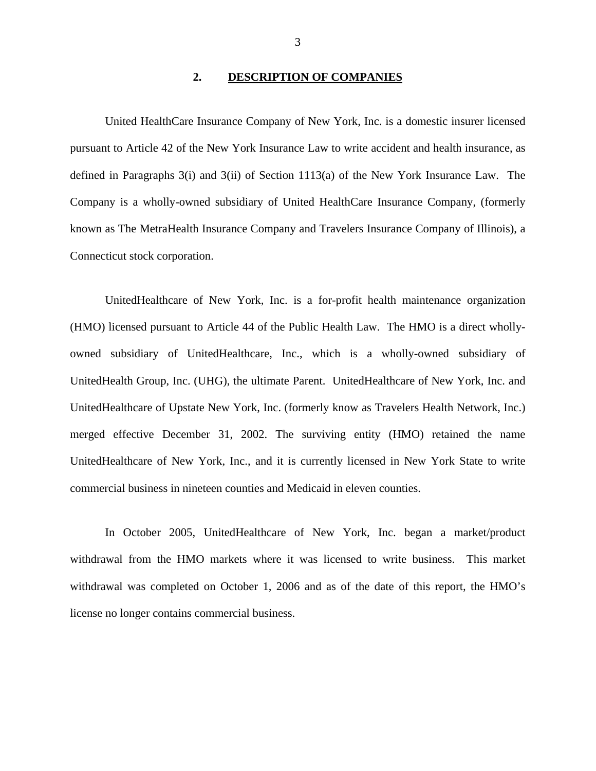### **2. DESCRIPTION OF COMPANIES**

<span id="page-4-0"></span>United HealthCare Insurance Company of New York, Inc. is a domestic insurer licensed pursuant to Article 42 of the New York Insurance Law to write accident and health insurance, as defined in Paragraphs 3(i) and 3(ii) of Section 1113(a) of the New York Insurance Law. The Company is a wholly-owned subsidiary of United HealthCare Insurance Company, (formerly known as The MetraHealth Insurance Company and Travelers Insurance Company of Illinois), a Connecticut stock corporation.

UnitedHealthcare of New York, Inc. is a for-profit health maintenance organization (HMO) licensed pursuant to Article 44 of the Public Health Law. The HMO is a direct whollyowned subsidiary of UnitedHealthcare, Inc., which is a wholly-owned subsidiary of UnitedHealth Group, Inc. (UHG), the ultimate Parent. UnitedHealthcare of New York, Inc. and UnitedHealthcare of Upstate New York, Inc. (formerly know as Travelers Health Network, Inc.) merged effective December 31, 2002. The surviving entity (HMO) retained the name UnitedHealthcare of New York, Inc., and it is currently licensed in New York State to write commercial business in nineteen counties and Medicaid in eleven counties.

In October 2005, UnitedHealthcare of New York, Inc. began a market/product withdrawal from the HMO markets where it was licensed to write business. This market withdrawal was completed on October 1, 2006 and as of the date of this report, the HMO's license no longer contains commercial business.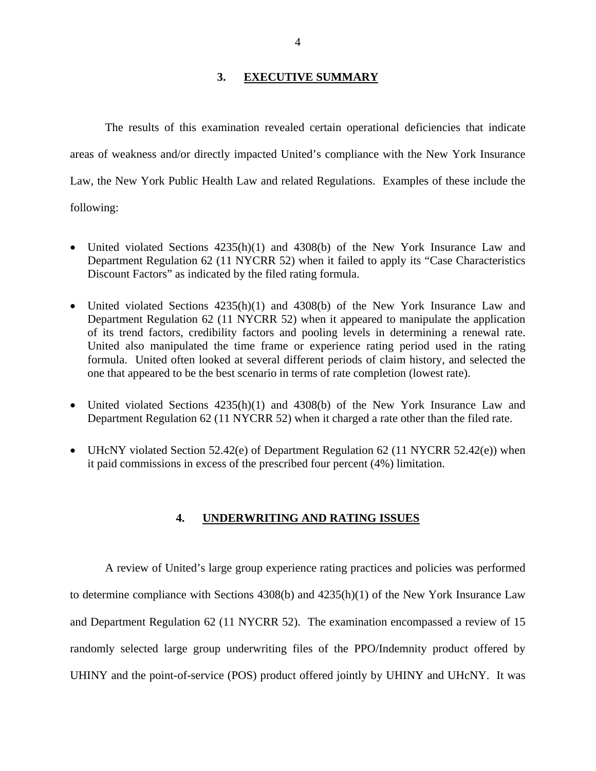### **3. EXECUTIVE SUMMARY**

<span id="page-5-0"></span>The results of this examination revealed certain operational deficiencies that indicate areas of weakness and/or directly impacted United's compliance with the New York Insurance Law, the New York Public Health Law and related Regulations. Examples of these include the following:

- United violated Sections  $4235(h)(1)$  and  $4308(b)$  of the New York Insurance Law and Department Regulation 62 (11 NYCRR 52) when it failed to apply its "Case Characteristics Discount Factors" as indicated by the filed rating formula.
- United violated Sections  $4235(h)(1)$  and  $4308(b)$  of the New York Insurance Law and Department Regulation 62 (11 NYCRR 52) when it appeared to manipulate the application of its trend factors, credibility factors and pooling levels in determining a renewal rate. United also manipulated the time frame or experience rating period used in the rating formula. United often looked at several different periods of claim history, and selected the one that appeared to be the best scenario in terms of rate completion (lowest rate).
- United violated Sections  $4235(h)(1)$  and  $4308(b)$  of the New York Insurance Law and Department Regulation 62 (11 NYCRR 52) when it charged a rate other than the filed rate.
- UHcNY violated Section 52.42(e) of Department Regulation 62 (11 NYCRR 52.42(e)) when it paid commissions in excess of the prescribed four percent (4%) limitation.

### **4. UNDERWRITING AND RATING ISSUES**

A review of United's large group experience rating practices and policies was performed to determine compliance with Sections 4308(b) and 4235(h)(1) of the New York Insurance Law and Department Regulation 62 (11 NYCRR 52). The examination encompassed a review of 15 randomly selected large group underwriting files of the PPO/Indemnity product offered by UHINY and the point-of-service (POS) product offered jointly by UHINY and UHcNY. It was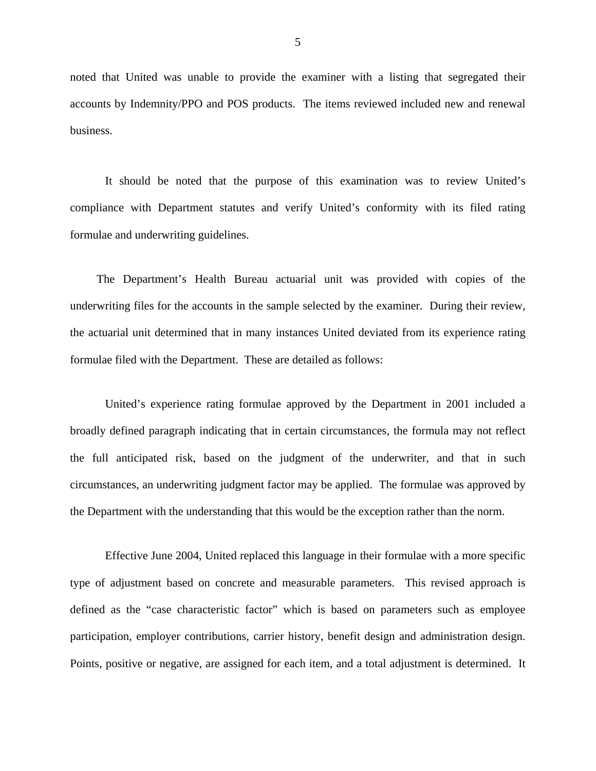noted that United was unable to provide the examiner with a listing that segregated their accounts by Indemnity/PPO and POS products. The items reviewed included new and renewal business.

It should be noted that the purpose of this examination was to review United's compliance with Department statutes and verify United's conformity with its filed rating formulae and underwriting guidelines.

The Department's Health Bureau actuarial unit was provided with copies of the underwriting files for the accounts in the sample selected by the examiner. During their review, the actuarial unit determined that in many instances United deviated from its experience rating formulae filed with the Department. These are detailed as follows:

United's experience rating formulae approved by the Department in 2001 included a broadly defined paragraph indicating that in certain circumstances, the formula may not reflect the full anticipated risk, based on the judgment of the underwriter, and that in such circumstances, an underwriting judgment factor may be applied. The formulae was approved by the Department with the understanding that this would be the exception rather than the norm.

Effective June 2004, United replaced this language in their formulae with a more specific type of adjustment based on concrete and measurable parameters. This revised approach is defined as the "case characteristic factor" which is based on parameters such as employee participation, employer contributions, carrier history, benefit design and administration design. Points, positive or negative, are assigned for each item, and a total adjustment is determined. It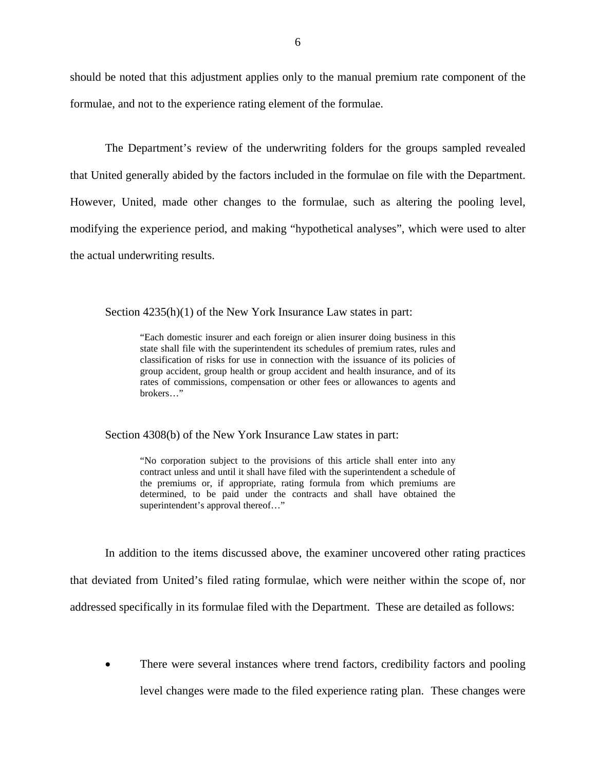should be noted that this adjustment applies only to the manual premium rate component of the formulae, and not to the experience rating element of the formulae.

The Department's review of the underwriting folders for the groups sampled revealed that United generally abided by the factors included in the formulae on file with the Department. However, United, made other changes to the formulae, such as altering the pooling level, modifying the experience period, and making "hypothetical analyses", which were used to alter the actual underwriting results.

Section  $4235(h)(1)$  of the New York Insurance Law states in part:

"Each domestic insurer and each foreign or alien insurer doing business in this state shall file with the superintendent its schedules of premium rates, rules and classification of risks for use in connection with the issuance of its policies of group accident, group health or group accident and health insurance, and of its rates of commissions, compensation or other fees or allowances to agents and brokers…"

Section 4308(b) of the New York Insurance Law states in part:

 "No corporation subject to the provisions of this article shall enter into any contract unless and until it shall have filed with the superintendent a schedule of the premiums or, if appropriate, rating formula from which premiums are determined, to be paid under the contracts and shall have obtained the superintendent's approval thereof…"

In addition to the items discussed above, the examiner uncovered other rating practices that deviated from United's filed rating formulae, which were neither within the scope of, nor addressed specifically in its formulae filed with the Department. These are detailed as follows:

• There were several instances where trend factors, credibility factors and pooling level changes were made to the filed experience rating plan. These changes were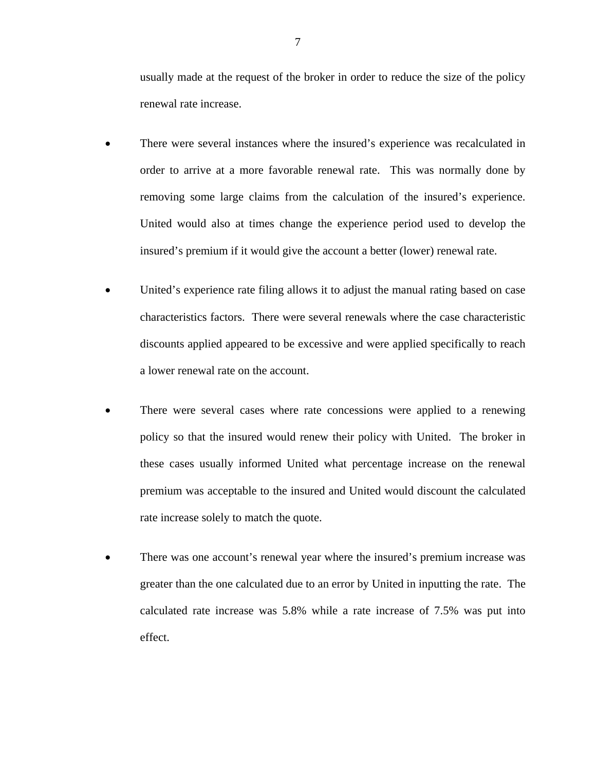usually made at the request of the broker in order to reduce the size of the policy renewal rate increase.

- There were several instances where the insured's experience was recalculated in order to arrive at a more favorable renewal rate. This was normally done by removing some large claims from the calculation of the insured's experience. United would also at times change the experience period used to develop the insured's premium if it would give the account a better (lower) renewal rate.
- United's experience rate filing allows it to adjust the manual rating based on case characteristics factors. There were several renewals where the case characteristic discounts applied appeared to be excessive and were applied specifically to reach a lower renewal rate on the account.
- There were several cases where rate concessions were applied to a renewing policy so that the insured would renew their policy with United. The broker in these cases usually informed United what percentage increase on the renewal premium was acceptable to the insured and United would discount the calculated rate increase solely to match the quote.
- There was one account's renewal year where the insured's premium increase was greater than the one calculated due to an error by United in inputting the rate. The calculated rate increase was 5.8% while a rate increase of 7.5% was put into effect.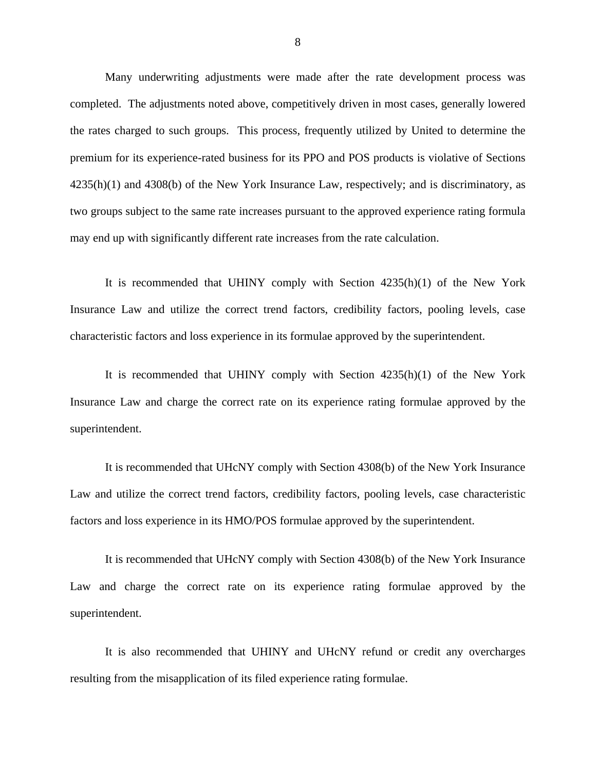Many underwriting adjustments were made after the rate development process was completed. The adjustments noted above, competitively driven in most cases, generally lowered the rates charged to such groups. This process, frequently utilized by United to determine the premium for its experience-rated business for its PPO and POS products is violative of Sections 4235(h)(1) and 4308(b) of the New York Insurance Law, respectively; and is discriminatory, as two groups subject to the same rate increases pursuant to the approved experience rating formula may end up with significantly different rate increases from the rate calculation.

It is recommended that UHINY comply with Section 4235(h)(1) of the New York Insurance Law and utilize the correct trend factors, credibility factors, pooling levels, case characteristic factors and loss experience in its formulae approved by the superintendent.

It is recommended that UHINY comply with Section 4235(h)(1) of the New York Insurance Law and charge the correct rate on its experience rating formulae approved by the superintendent.

It is recommended that UHcNY comply with Section 4308(b) of the New York Insurance Law and utilize the correct trend factors, credibility factors, pooling levels, case characteristic factors and loss experience in its HMO/POS formulae approved by the superintendent.

It is recommended that UHcNY comply with Section 4308(b) of the New York Insurance Law and charge the correct rate on its experience rating formulae approved by the superintendent.

It is also recommended that UHINY and UHcNY refund or credit any overcharges resulting from the misapplication of its filed experience rating formulae.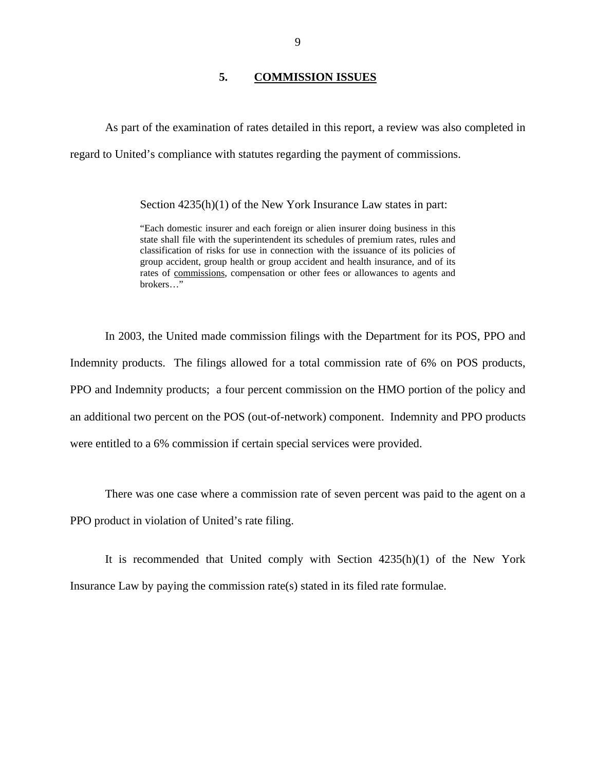### **5. COMMISSION ISSUES**

<span id="page-10-0"></span>As part of the examination of rates detailed in this report, a review was also completed in regard to United's compliance with statutes regarding the payment of commissions.

Section 4235(h)(1) of the New York Insurance Law states in part:

"Each domestic insurer and each foreign or alien insurer doing business in this state shall file with the superintendent its schedules of premium rates, rules and classification of risks for use in connection with the issuance of its policies of group accident, group health or group accident and health insurance, and of its rates of commissions, compensation or other fees or allowances to agents and brokers…"

In 2003, the United made commission filings with the Department for its POS, PPO and Indemnity products. The filings allowed for a total commission rate of 6% on POS products, PPO and Indemnity products; a four percent commission on the HMO portion of the policy and an additional two percent on the POS (out-of-network) component. Indemnity and PPO products were entitled to a 6% commission if certain special services were provided.

There was one case where a commission rate of seven percent was paid to the agent on a PPO product in violation of United's rate filing.

It is recommended that United comply with Section 4235(h)(1) of the New York Insurance Law by paying the commission rate(s) stated in its filed rate formulae.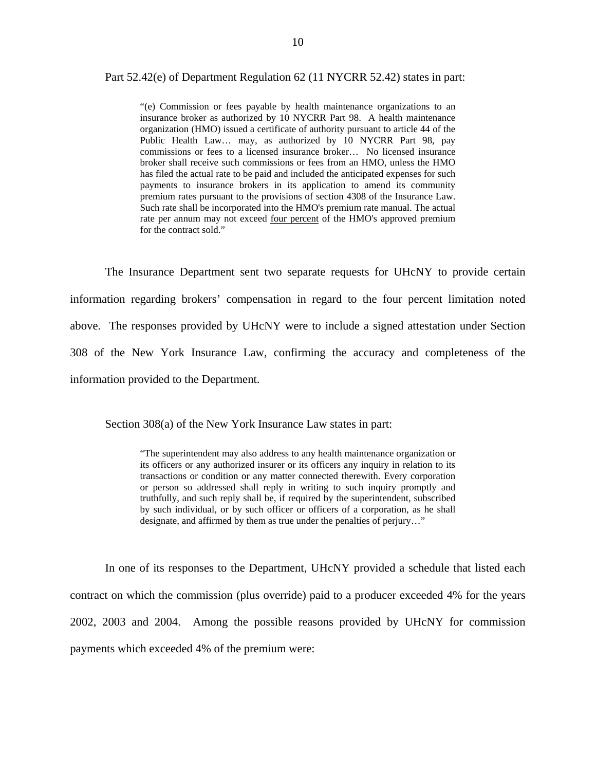### Part 52.42(e) of Department Regulation 62 (11 NYCRR 52.42) states in part:

 Public Health Law… may, as authorized by 10 NYCRR Part 98, pay "(e) Commission or fees payable by health maintenance organizations to an insurance broker as authorized by 10 NYCRR Part 98. A health maintenance organization (HMO) issued a certificate of authority pursuant to article 44 of the commissions or fees to a licensed insurance broker… No licensed insurance broker shall receive such commissions or fees from an HMO, unless the HMO has filed the actual rate to be paid and included the anticipated expenses for such payments to insurance brokers in its application to amend its community premium rates pursuant to the provisions of section 4308 of the Insurance Law. Such rate shall be incorporated into the HMO's premium rate manual. The actual rate per annum may not exceed four percent of the HMO's approved premium for the contract sold."

The Insurance Department sent two separate requests for UHcNY to provide certain information regarding brokers' compensation in regard to the four percent limitation noted above. The responses provided by UHcNY were to include a signed attestation under Section 308 of the New York Insurance Law, confirming the accuracy and completeness of the information provided to the Department.

Section 308(a) of the New York Insurance Law states in part:

 transactions or condition or any matter connected therewith. Every corporation "The superintendent may also address to any health maintenance organization or its officers or any authorized insurer or its officers any inquiry in relation to its or person so addressed shall reply in writing to such inquiry promptly and truthfully, and such reply shall be, if required by the superintendent, subscribed by such individual, or by such officer or officers of a corporation, as he shall designate, and affirmed by them as true under the penalties of perjury…"

In one of its responses to the Department, UHcNY provided a schedule that listed each contract on which the commission (plus override) paid to a producer exceeded 4% for the years 2002, 2003 and 2004. Among the possible reasons provided by UHcNY for commission payments which exceeded 4% of the premium were: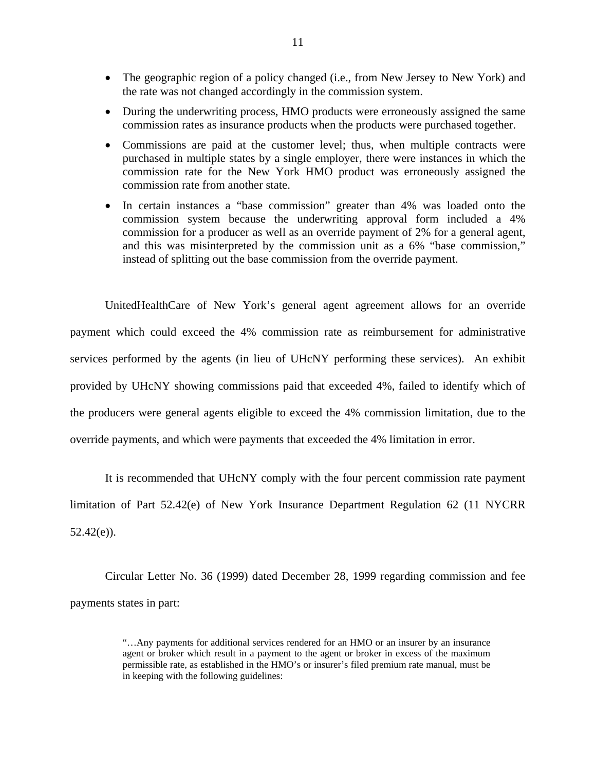- The geographic region of a policy changed (i.e., from New Jersey to New York) and the rate was not changed accordingly in the commission system.
- During the underwriting process, HMO products were erroneously assigned the same commission rates as insurance products when the products were purchased together.
- Commissions are paid at the customer level; thus, when multiple contracts were purchased in multiple states by a single employer, there were instances in which the commission rate for the New York HMO product was erroneously assigned the commission rate from another state.
- In certain instances a "base commission" greater than 4% was loaded onto the commission system because the underwriting approval form included a 4% commission for a producer as well as an override payment of 2% for a general agent, and this was misinterpreted by the commission unit as a 6% "base commission," instead of splitting out the base commission from the override payment.

UnitedHealthCare of New York's general agent agreement allows for an override payment which could exceed the 4% commission rate as reimbursement for administrative services performed by the agents (in lieu of UHcNY performing these services). An exhibit provided by UHcNY showing commissions paid that exceeded 4%, failed to identify which of the producers were general agents eligible to exceed the 4% commission limitation, due to the override payments, and which were payments that exceeded the 4% limitation in error.

It is recommended that UHcNY comply with the four percent commission rate payment limitation of Part 52.42(e) of New York Insurance Department Regulation 62 (11 NYCRR  $52.42(e)$ ).

Circular Letter No. 36 (1999) dated December 28, 1999 regarding commission and fee payments states in part:

<sup>&</sup>quot;…Any payments for additional services rendered for an HMO or an insurer by an insurance agent or broker which result in a payment to the agent or broker in excess of the maximum permissible rate, as established in the HMO's or insurer's filed premium rate manual, must be in keeping with the following guidelines: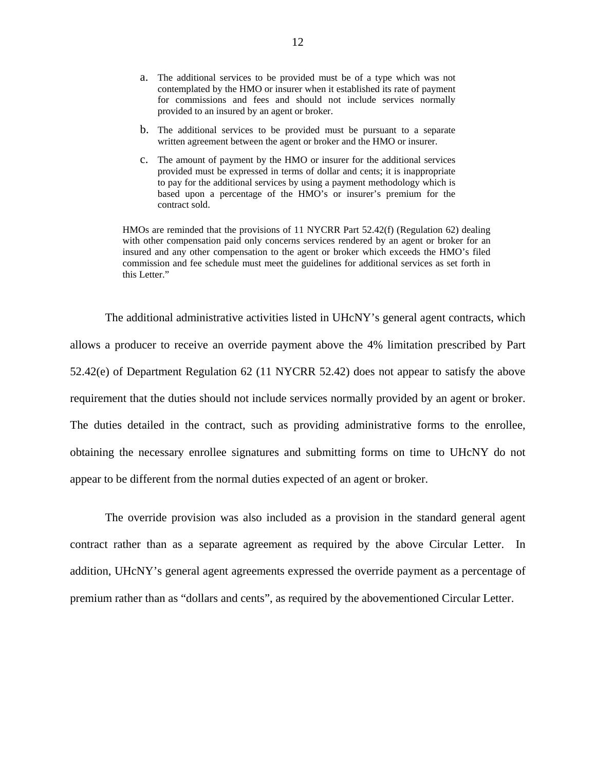- provided to an insured by an agent or broker. a. The additional services to be provided must be of a type which was not contemplated by the HMO or insurer when it established its rate of payment for commissions and fees and should not include services normally
- b. The additional services to be provided must be pursuant to a separate written agreement between the agent or broker and the HMO or insurer.
- c. The amount of payment by the HMO or insurer for the additional services provided must be expressed in terms of dollar and cents; it is inappropriate to pay for the additional services by using a payment methodology which is based upon a percentage of the HMO's or insurer's premium for the contract sold.

 insured and any other compensation to the agent or broker which exceeds the HMO's filed HMOs are reminded that the provisions of 11 NYCRR Part 52.42(f) (Regulation 62) dealing with other compensation paid only concerns services rendered by an agent or broker for an commission and fee schedule must meet the guidelines for additional services as set forth in this Letter."

The additional administrative activities listed in UHcNY's general agent contracts, which allows a producer to receive an override payment above the 4% limitation prescribed by Part 52.42(e) of Department Regulation 62 (11 NYCRR 52.42) does not appear to satisfy the above requirement that the duties should not include services normally provided by an agent or broker. The duties detailed in the contract, such as providing administrative forms to the enrollee, obtaining the necessary enrollee signatures and submitting forms on time to UHcNY do not appear to be different from the normal duties expected of an agent or broker.

The override provision was also included as a provision in the standard general agent contract rather than as a separate agreement as required by the above Circular Letter. In addition, UHcNY's general agent agreements expressed the override payment as a percentage of premium rather than as "dollars and cents", as required by the abovementioned Circular Letter.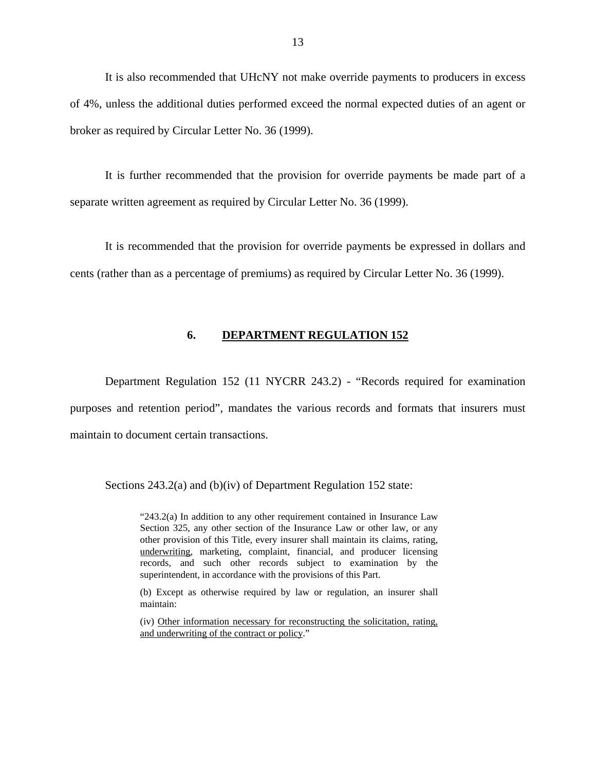<span id="page-14-0"></span>It is also recommended that UHcNY not make override payments to producers in excess of 4%, unless the additional duties performed exceed the normal expected duties of an agent or broker as required by Circular Letter No. 36 (1999).

It is further recommended that the provision for override payments be made part of a separate written agreement as required by Circular Letter No. 36 (1999).

It is recommended that the provision for override payments be expressed in dollars and cents (rather than as a percentage of premiums) as required by Circular Letter No. 36 (1999).

### **6. DEPARTMENT REGULATION 152**

Department Regulation 152 (11 NYCRR 243.2) - "Records required for examination purposes and retention period", mandates the various records and formats that insurers must maintain to document certain transactions.

Sections 243.2(a) and (b)(iv) of Department Regulation 152 state:

"243.2(a) In addition to any other requirement contained in Insurance Law Section 325, any other section of the Insurance Law or other law, or any other provision of this Title, every insurer shall maintain its claims, rating, underwriting, marketing, complaint, financial, and producer licensing records, and such other records subject to examination by the superintendent, in accordance with the provisions of this Part.

(b) Except as otherwise required by law or regulation, an insurer shall maintain:

(iv) Other information necessary for reconstructing the solicitation, rating, and underwriting of the contract or policy."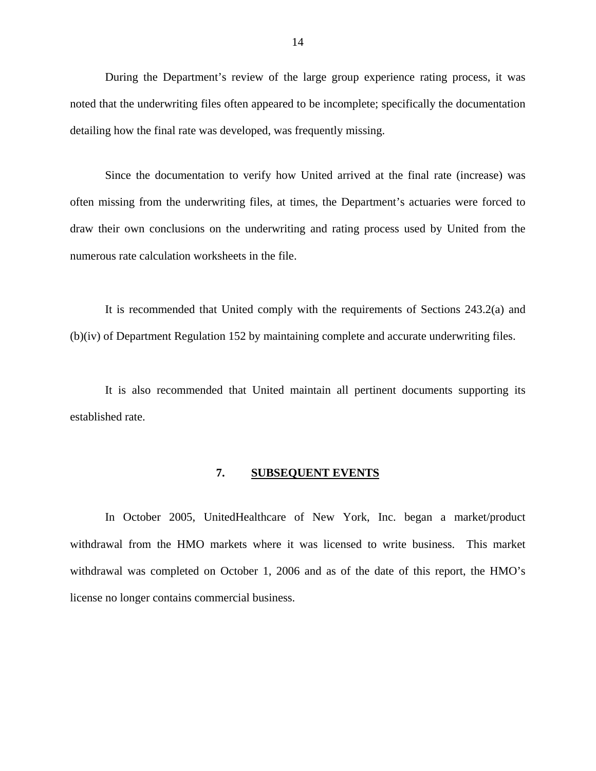<span id="page-15-0"></span>During the Department's review of the large group experience rating process, it was noted that the underwriting files often appeared to be incomplete; specifically the documentation detailing how the final rate was developed, was frequently missing.

Since the documentation to verify how United arrived at the final rate (increase) was often missing from the underwriting files, at times, the Department's actuaries were forced to draw their own conclusions on the underwriting and rating process used by United from the numerous rate calculation worksheets in the file.

It is recommended that United comply with the requirements of Sections 243.2(a) and (b)(iv) of Department Regulation 152 by maintaining complete and accurate underwriting files.

It is also recommended that United maintain all pertinent documents supporting its established rate.

### **7. SUBSEQUENT EVENTS**

In October 2005, UnitedHealthcare of New York, Inc. began a market/product withdrawal from the HMO markets where it was licensed to write business. This market withdrawal was completed on October 1, 2006 and as of the date of this report, the HMO's license no longer contains commercial business.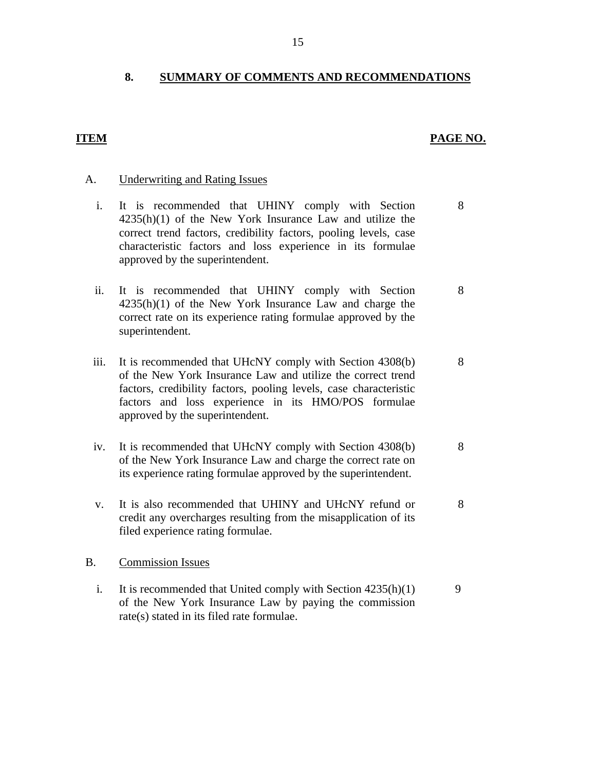### <span id="page-16-0"></span>**8. SUMMARY OF COMMENTS AND RECOMMENDATIONS**

### **ITEM PAGE NO.**

### A. Underwriting and Rating Issues

- i. It is recommended that UHINY comply with Section 8 4235(h)(1) of the New York Insurance Law and utilize the correct trend factors, credibility factors, pooling levels, case characteristic factors and loss experience in its formulae approved by the superintendent.
- ii. It is recommended that UHINY comply with Section 8 4235(h)(1) of the New York Insurance Law and charge the correct rate on its experience rating formulae approved by the superintendent.
- iii. It is recommended that UHcNY comply with Section 4308(b) 8 of the New York Insurance Law and utilize the correct trend factors, credibility factors, pooling levels, case characteristic factors and loss experience in its HMO/POS formulae approved by the superintendent.
- iv. It is recommended that UHcNY comply with Section 4308(b) 8 of the New York Insurance Law and charge the correct rate on its experience rating formulae approved by the superintendent.
- v. It is also recommended that UHINY and UHcNY refund or 8 credit any overcharges resulting from the misapplication of its filed experience rating formulae.

### B. Commission Issues

i. It is recommended that United comply with Section  $4235(h)(1)$  9 of the New York Insurance Law by paying the commission rate(s) stated in its filed rate formulae.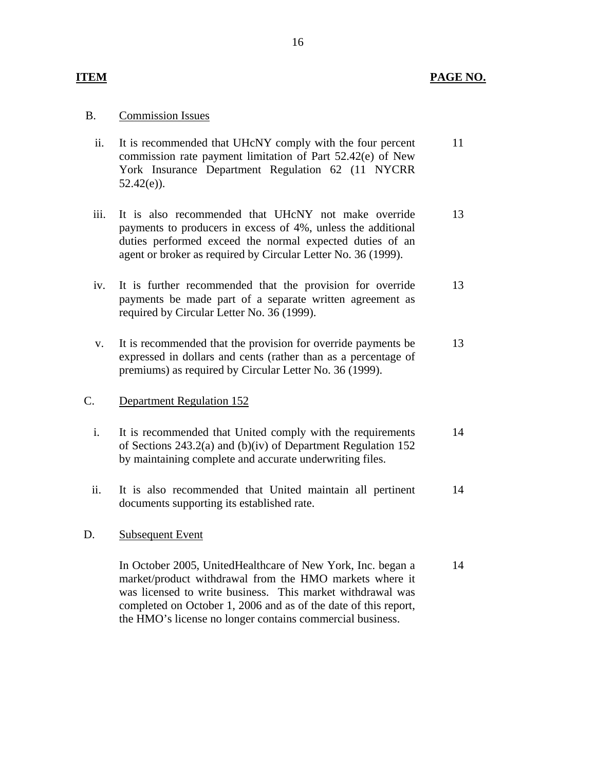### **ITEM PAGE NO.**

### B. Commission Issues

| ii. | It is recommended that UHcNY comply with the four percent  |  |  |
|-----|------------------------------------------------------------|--|--|
|     | commission rate payment limitation of Part 52.42(e) of New |  |  |
|     | York Insurance Department Regulation 62 (11 NYCRR)         |  |  |
|     | $52.42(e)$ ).                                              |  |  |

- iii. It is also recommended that UHcNY not make override payments to producers in excess of 4%, unless the additional duties performed exceed the normal expected duties of an agent or broker as required by Circular Letter No. 36 (1999). 13
- iv. It is further recommended that the provision for override payments be made part of a separate written agreement as required by Circular Letter No. 36 (1999). 13
- v. It is recommended that the provision for override payments be expressed in dollars and cents (rather than as a percentage of premiums) as required by Circular Letter No. 36 (1999). 13

### **Department Regulation 152**

- C. Department Regulation 152<br>i. It is recommended that United comply with the requirements of Sections 243.2(a) and (b)(iv) of Department Regulation 152 by maintaining complete and accurate underwriting files. 14
	- ii. It is also recommended that United maintain all pertinent documents supporting its established rate. 14

### **Subsequent Event**

D. Subsequent Event<br>In October 2005, UnitedHealthcare of New York, Inc. began a market/product withdrawal from the HMO markets where it was licensed to write business. This market withdrawal was completed on October 1, 2006 and as of the date of this report, the HMO's license no longer contains commercial business. 14

### 16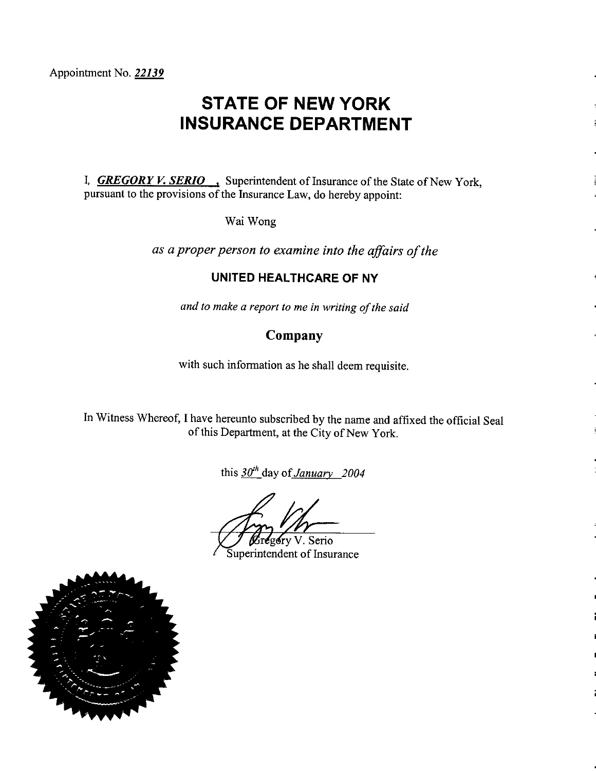# **STATE OF NEW YORK INSURANCE DEPARTMENT**

I, **GREGORY V. SERIO**, Superintendent of Insurance of the State of New York, pursuant to the provisions of the Insurance Law, do hereby appoint:

Wai Wong

as a proper person to examine into the affairs of the

## **UNITED HEALTHCARE OF NY**

and to make a report to me in writing of the said

# Company

with such information as he shall deem requisite.

In Witness Whereof, I have hereunto subscribed by the name and affixed the official Seal of this Department, at the City of New York.

this  $30^{th}$  day of January 2004

gory V. Serio

Superintendent of Insurance